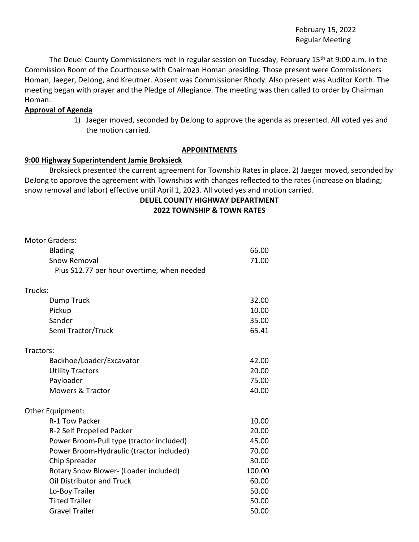February 15, 2022 Regular Meeting

The Deuel County Commissioners met in regular session on Tuesday, February 15<sup>th</sup> at 9:00 a.m. in the Commission Room of the Courthouse with Chairman Homan presiding. Those present were Commissioners Homan, Jaeger, DeJong, and Kreutner. Absent was Commissioner Rhody. Also present was Auditor Korth. The meeting began with prayer and the Pledge of Allegiance. The meeting was then called to order by Chairman Homan.

#### **Approval of Agenda**

1) Jaeger moved, seconded by DeJong to approve the agenda as presented. All voted yes and the motion carried.

### **APPOINTMENTS**

#### **9:00 Highway Superintendent Jamie Broksieck**

Broksieck presented the current agreement for Township Rates in place. 2) Jaeger moved, seconded by DeJong to approve the agreement with Townships with changes reflected to the rates (increase on blading; snow removal and labor) effective until April 1, 2023. All voted yes and motion carried.

# **DEUEL COUNTY HIGHWAY DEPARTMENT**

**2022 TOWNSHIP & TOWN RATES**

| <b>Motor Graders:</b>                       |        |
|---------------------------------------------|--------|
| <b>Blading</b>                              | 66.00  |
| <b>Snow Removal</b>                         | 71.00  |
| Plus \$12.77 per hour overtime, when needed |        |
| Trucks:                                     |        |
| Dump Truck                                  | 32.00  |
| Pickup                                      | 10.00  |
| Sander                                      | 35.00  |
| Semi Tractor/Truck                          | 65.41  |
| Tractors:                                   |        |
| Backhoe/Loader/Excavator                    | 42.00  |
| <b>Utility Tractors</b>                     | 20.00  |
| Payloader                                   | 75.00  |
| <b>Mowers &amp; Tractor</b>                 | 40.00  |
| Other Equipment:                            |        |
| R-1 Tow Packer                              | 10.00  |
| R-2 Self Propelled Packer                   | 20.00  |
| Power Broom-Pull type (tractor included)    | 45.00  |
| Power Broom-Hydraulic (tractor included)    | 70.00  |
| Chip Spreader                               | 30.00  |
| Rotary Snow Blower- (Loader included)       | 100.00 |
| Oil Distributor and Truck                   | 60.00  |
| Lo-Boy Trailer                              | 50.00  |
| <b>Tilted Trailer</b>                       | 50.00  |
| <b>Gravel Trailer</b>                       | 50.00  |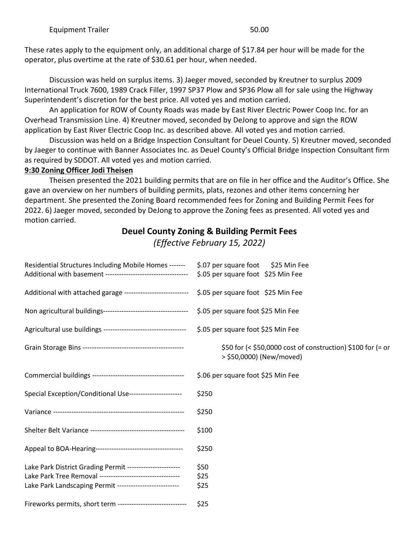These rates apply to the equipment only, an additional charge of \$17.84 per hour will be made for the operator, plus overtime at the rate of \$30.61 per hour, when needed.

Discussion was held on surplus items. 3) Jaeger moved, seconded by Kreutner to surplus 2009 International Truck 7600, 1989 Crack Filler, 1997 SP37 Plow and SP36 Plow all for sale using the Highway Superintendent's discretion for the best price. All voted yes and motion carried.

An application for ROW of County Roads was made by East River Electric Power Coop Inc. for an Overhead Transmission Line. 4) Kreutner moved, seconded by DeJong to approve and sign the ROW application by East River Electric Coop Inc. as described above. All voted yes and motion carried.

Discussion was held on a Bridge Inspection Consultant for Deuel County. 5) Kreutner moved, seconded by Jaeger to continue with Banner Associates Inc. as Deuel County's Official Bridge Inspection Consultant firm as required by SDDOT. All voted yes and motion carried.

# **9:30 Zoning Officer Jodi Theisen**

Theisen presented the 2021 building permits that are on file in her office and the Auditor's Office. She gave an overview on her numbers of building permits, plats, rezones and other items concerning her department. She presented the Zoning Board recommended fees for Zoning and Building Permit Fees for 2022. 6) Jaeger moved, seconded by DeJong to approve the Zoning fees as presented. All voted yes and motion carried.

# **Deuel County Zoning & Building Permit Fees**

*(Effective February 15, 2022)*

| Residential Structures Including Mobile Homes -------                                          | \$.07 per square foot \$25 Min Fee<br>\$.05 per square foot \$25 Min Fee                |
|------------------------------------------------------------------------------------------------|-----------------------------------------------------------------------------------------|
| Additional with attached garage --------------------------- \$.05 per square foot \$25 Min Fee |                                                                                         |
|                                                                                                |                                                                                         |
|                                                                                                | \$.05 per square foot \$25 Min Fee                                                      |
|                                                                                                |                                                                                         |
|                                                                                                | \$50 for (< \$50,0000 cost of construction) \$100 for (= or<br>> \$50,0000) (New/moved) |
|                                                                                                | \$.06 per square foot \$25 Min Fee                                                      |
| Special Exception/Conditional Use----------------------                                        | \$250                                                                                   |
|                                                                                                | \$250                                                                                   |
|                                                                                                | \$100                                                                                   |
|                                                                                                | \$250                                                                                   |
| Lake Park District Grading Permit ----------------------                                       | \$50                                                                                    |
| Lake Park Tree Removal -----------------------------------                                     | \$25                                                                                    |
| Lake Park Landscaping Permit --------------------------                                        | \$25                                                                                    |
| Fireworks permits, short term ------------------------------                                   | \$25                                                                                    |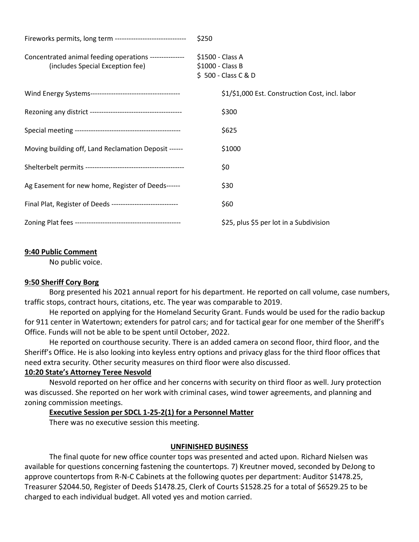| Fireworks permits, long term -------------------------------                               | \$250                                                       |
|--------------------------------------------------------------------------------------------|-------------------------------------------------------------|
| Concentrated animal feeding operations ---------------<br>(includes Special Exception fee) | \$1500 - Class A<br>\$1000 - Class B<br>\$500 - Class C & D |
|                                                                                            | \$1/\$1,000 Est. Construction Cost, incl. labor             |
|                                                                                            | \$300                                                       |
|                                                                                            | \$625                                                       |
| Moving building off, Land Reclamation Deposit ------                                       | \$1000                                                      |
|                                                                                            | \$0                                                         |
| Ag Easement for new home, Register of Deeds------                                          | \$30                                                        |
| Final Plat, Register of Deeds -----------------------------                                | \$60                                                        |
|                                                                                            | \$25, plus \$5 per lot in a Subdivision                     |

# **9:40 Public Comment**

No public voice.

### **9:50 Sheriff Cory Borg**

Borg presented his 2021 annual report for his department. He reported on call volume, case numbers, traffic stops, contract hours, citations, etc. The year was comparable to 2019.

He reported on applying for the Homeland Security Grant. Funds would be used for the radio backup for 911 center in Watertown; extenders for patrol cars; and for tactical gear for one member of the Sheriff's Office. Funds will not be able to be spent until October, 2022.

He reported on courthouse security. There is an added camera on second floor, third floor, and the Sheriff's Office. He is also looking into keyless entry options and privacy glass for the third floor offices that need extra security. Other security measures on third floor were also discussed.

# **10:20 State's Attorney Teree Nesvold**

Nesvold reported on her office and her concerns with security on third floor as well. Jury protection was discussed. She reported on her work with criminal cases, wind tower agreements, and planning and zoning commission meetings.

### **Executive Session per SDCL 1-25-2(1) for a Personnel Matter**

There was no executive session this meeting.

# **UNFINISHED BUSINESS**

The final quote for new office counter tops was presented and acted upon. Richard Nielsen was available for questions concerning fastening the countertops. 7) Kreutner moved, seconded by DeJong to approve countertops from R-N-C Cabinets at the following quotes per department: Auditor \$1478.25, Treasurer \$2044.50, Register of Deeds \$1478.25, Clerk of Courts \$1528.25 for a total of \$6529.25 to be charged to each individual budget. All voted yes and motion carried.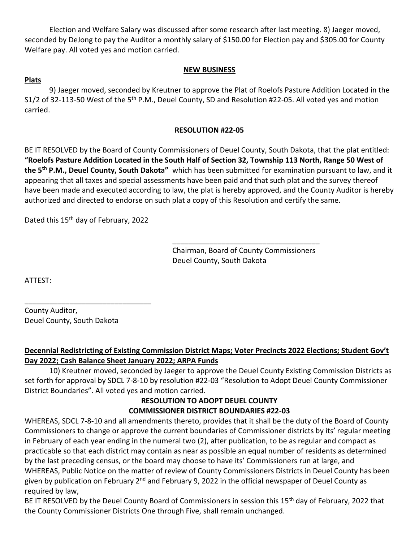Election and Welfare Salary was discussed after some research after last meeting. 8) Jaeger moved, seconded by DeJong to pay the Auditor a monthly salary of \$150.00 for Election pay and \$305.00 for County Welfare pay. All voted yes and motion carried.

### **NEW BUSINESS**

### **Plats**

9) Jaeger moved, seconded by Kreutner to approve the Plat of Roelofs Pasture Addition Located in the S1/2 of 32-113-50 West of the 5<sup>th</sup> P.M., Deuel County, SD and Resolution #22-05. All voted yes and motion carried.

### **RESOLUTION #22-05**

BE IT RESOLVED by the Board of County Commissioners of Deuel County, South Dakota, that the plat entitled: **"Roelofs Pasture Addition Located in the South Half of Section 32, Township 113 North, Range 50 West of the 5th P.M., Deuel County, South Dakota"** which has been submitted for examination pursuant to law, and it appearing that all taxes and special assessments have been paid and that such plat and the survey thereof have been made and executed according to law, the plat is hereby approved, and the County Auditor is hereby authorized and directed to endorse on such plat a copy of this Resolution and certify the same.

Dated this 15<sup>th</sup> day of February, 2022

\_\_\_\_\_\_\_\_\_\_\_\_\_\_\_\_\_\_\_\_\_\_\_\_\_\_\_\_\_\_\_

Chairman, Board of County Commissioners Deuel County, South Dakota

\_\_\_\_\_\_\_\_\_\_\_\_\_\_\_\_\_\_\_\_\_\_\_\_\_\_\_\_\_\_\_\_\_\_\_\_

ATTEST:

County Auditor, Deuel County, South Dakota

# **Decennial Redistricting of Existing Commission District Maps; Voter Precincts 2022 Elections; Student Gov't Day 2022; Cash Balance Sheet January 2022; ARPA Funds**

10) Kreutner moved, seconded by Jaeger to approve the Deuel County Existing Commission Districts as set forth for approval by SDCL 7-8-10 by resolution #22-03 "Resolution to Adopt Deuel County Commissioner District Boundaries". All voted yes and motion carried.

#### **RESOLUTION TO ADOPT DEUEL COUNTY COMMISSIONER DISTRICT BOUNDARIES #22-03**

WHEREAS, SDCL 7-8-10 and all amendments thereto, provides that it shall be the duty of the Board of County Commissioners to change or approve the current boundaries of Commissioner districts by its' regular meeting in February of each year ending in the numeral two (2), after publication, to be as regular and compact as practicable so that each district may contain as near as possible an equal number of residents as determined by the last preceding census, or the board may choose to have its' Commissioners run at large, and WHEREAS, Public Notice on the matter of review of County Commissioners Districts in Deuel County has been given by publication on February 2<sup>nd</sup> and February 9, 2022 in the official newspaper of Deuel County as required by law,

BE IT RESOLVED by the Deuel County Board of Commissioners in session this 15<sup>th</sup> day of February, 2022 that the County Commissioner Districts One through Five, shall remain unchanged.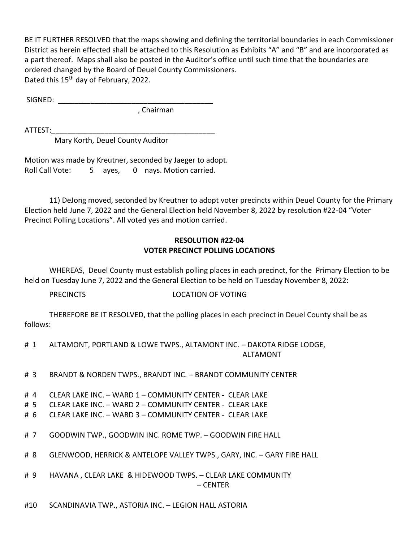BE IT FURTHER RESOLVED that the maps showing and defining the territorial boundaries in each Commissioner District as herein effected shall be attached to this Resolution as Exhibits "A" and "B" and are incorporated as a part thereof. Maps shall also be posted in the Auditor's office until such time that the boundaries are ordered changed by the Board of Deuel County Commissioners. Dated this 15<sup>th</sup> day of February, 2022.

 $SIGNED:$ 

, Chairman

ATTEST:\_\_\_\_\_\_\_\_\_\_\_\_\_\_\_\_\_\_\_\_\_\_\_\_\_\_\_\_\_\_\_\_\_\_\_\_\_\_\_\_

Mary Korth, Deuel County Auditor

Motion was made by Kreutner, seconded by Jaeger to adopt. Roll Call Vote: 5 ayes, 0 nays. Motion carried.

11) DeJong moved, seconded by Kreutner to adopt voter precincts within Deuel County for the Primary Election held June 7, 2022 and the General Election held November 8, 2022 by resolution #22-04 "Voter Precinct Polling Locations". All voted yes and motion carried.

# **RESOLUTION #22-04 VOTER PRECINCT POLLING LOCATIONS**

WHEREAS, Deuel County must establish polling places in each precinct, for the Primary Election to be held on Tuesday June 7, 2022 and the General Election to be held on Tuesday November 8, 2022:

PRECINCTS LOCATION OF VOTING

THEREFORE BE IT RESOLVED, that the polling places in each precinct in Deuel County shall be as follows:

- # 1 ALTAMONT, PORTLAND & LOWE TWPS., ALTAMONT INC. DAKOTA RIDGE LODGE, ALTAMONT
- # 3 BRANDT & NORDEN TWPS., BRANDT INC. BRANDT COMMUNITY CENTER
- # 4 CLEAR LAKE INC. WARD 1 COMMUNITY CENTER CLEAR LAKE
- # 5 CLEAR LAKE INC. WARD 2 COMMUNITY CENTER CLEAR LAKE
- # 6 CLEAR LAKE INC. WARD 3 COMMUNITY CENTER CLEAR LAKE
- # 7 GOODWIN TWP., GOODWIN INC. ROME TWP. GOODWIN FIRE HALL
- # 8 GLENWOOD, HERRICK & ANTELOPE VALLEY TWPS., GARY, INC. GARY FIRE HALL
- # 9 HAVANA , CLEAR LAKE & HIDEWOOD TWPS. CLEAR LAKE COMMUNITY – CENTER
- #10 SCANDINAVIA TWP., ASTORIA INC. LEGION HALL ASTORIA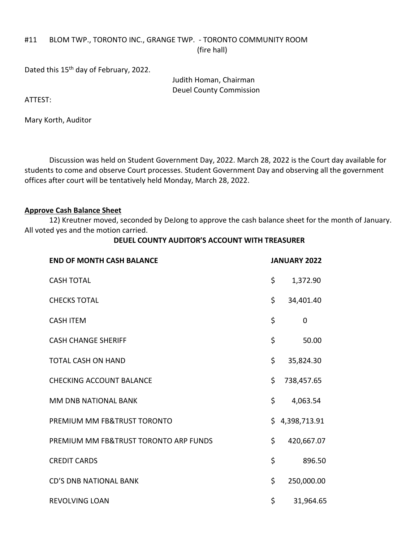#### #11 BLOM TWP., TORONTO INC., GRANGE TWP. - TORONTO COMMUNITY ROOM (fire hall)

Dated this 15<sup>th</sup> day of February, 2022.

Judith Homan, Chairman Deuel County Commission

ATTEST:

Mary Korth, Auditor

Discussion was held on Student Government Day, 2022. March 28, 2022 is the Court day available for students to come and observe Court processes. Student Government Day and observing all the government offices after court will be tentatively held Monday, March 28, 2022.

### **Approve Cash Balance Sheet**

12) Kreutner moved, seconded by DeJong to approve the cash balance sheet for the month of January. All voted yes and the motion carried.

#### **DEUEL COUNTY AUDITOR'S ACCOUNT WITH TREASURER**

| <b>END OF MONTH CASH BALANCE</b>      | <b>JANUARY 2022</b> |              |
|---------------------------------------|---------------------|--------------|
| <b>CASH TOTAL</b>                     | \$                  | 1,372.90     |
| <b>CHECKS TOTAL</b>                   | \$                  | 34,401.40    |
| <b>CASH ITEM</b>                      | \$                  | $\mathbf 0$  |
| <b>CASH CHANGE SHERIFF</b>            | \$                  | 50.00        |
| <b>TOTAL CASH ON HAND</b>             | \$                  | 35,824.30    |
| <b>CHECKING ACCOUNT BALANCE</b>       | \$                  | 738,457.65   |
| MM DNB NATIONAL BANK                  | \$                  | 4,063.54     |
| PREMIUM MM FB&TRUST TORONTO           | \$                  | 4,398,713.91 |
| PREMIUM MM FB&TRUST TORONTO ARP FUNDS | \$                  | 420,667.07   |
| <b>CREDIT CARDS</b>                   | \$                  | 896.50       |
| <b>CD'S DNB NATIONAL BANK</b>         | \$                  | 250,000.00   |
| <b>REVOLVING LOAN</b>                 | \$                  | 31,964.65    |